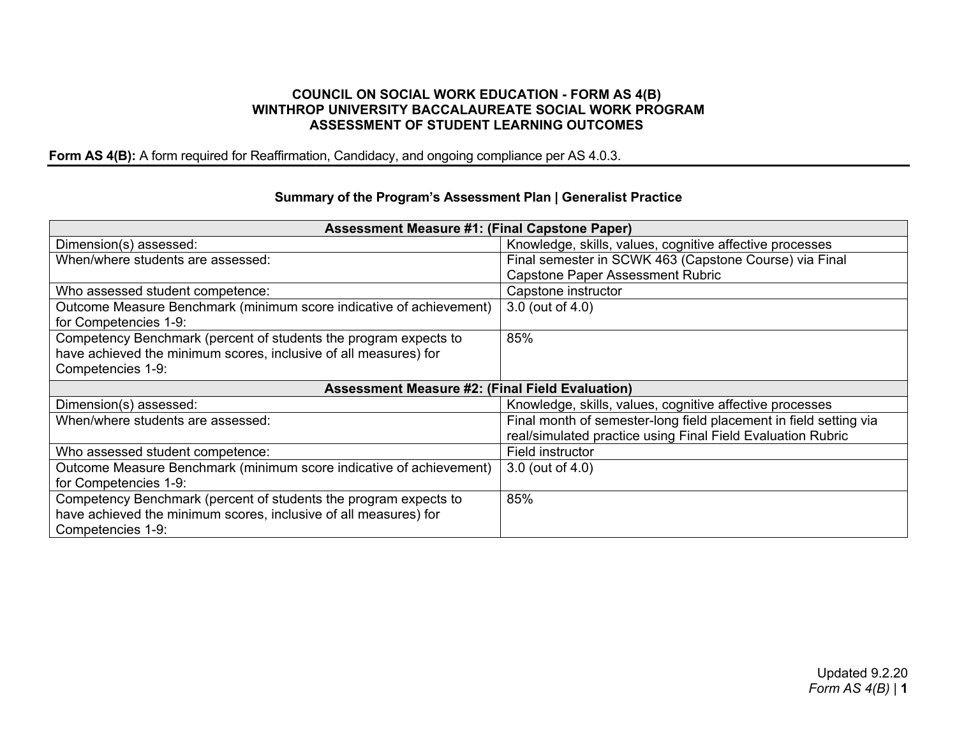## **COUNCIL ON SOCIAL WORK EDUCATION - FORM AS 4(B) WINTHROP UNIVERSITY BACCALAUREATE SOCIAL WORK PROGRAM ASSESSMENT OF STUDENT LEARNING OUTCOMES**

**Form AS 4(B):** A form required for Reaffirmation, Candidacy, and ongoing compliance per AS 4.0.3.

## **Summary of the Program's Assessment Plan | Generalist Practice**

| <b>Assessment Measure #1: (Final Capstone Paper)</b>                |                                                                   |  |
|---------------------------------------------------------------------|-------------------------------------------------------------------|--|
| Dimension(s) assessed:                                              | Knowledge, skills, values, cognitive affective processes          |  |
| When/where students are assessed:                                   | Final semester in SCWK 463 (Capstone Course) via Final            |  |
|                                                                     | <b>Capstone Paper Assessment Rubric</b>                           |  |
| Who assessed student competence:                                    | Capstone instructor                                               |  |
| Outcome Measure Benchmark (minimum score indicative of achievement) | 3.0 (out of 4.0)                                                  |  |
| for Competencies 1-9:                                               |                                                                   |  |
| Competency Benchmark (percent of students the program expects to    | 85%                                                               |  |
| have achieved the minimum scores, inclusive of all measures) for    |                                                                   |  |
| Competencies 1-9:                                                   |                                                                   |  |
| <b>Assessment Measure #2: (Final Field Evaluation)</b>              |                                                                   |  |
| Dimension(s) assessed:                                              | Knowledge, skills, values, cognitive affective processes          |  |
| When/where students are assessed:                                   | Final month of semester-long field placement in field setting via |  |
|                                                                     | real/simulated practice using Final Field Evaluation Rubric       |  |
| Who assessed student competence:                                    | Field instructor                                                  |  |
| Outcome Measure Benchmark (minimum score indicative of achievement) | 3.0 (out of 4.0)                                                  |  |
| for Competencies 1-9:                                               |                                                                   |  |
| Competency Benchmark (percent of students the program expects to    | 85%                                                               |  |
| have achieved the minimum scores, inclusive of all measures) for    |                                                                   |  |
| Competencies 1-9:                                                   |                                                                   |  |